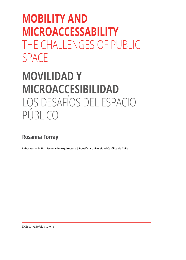# **MOBILITY AND MICROACCESSABILITY** THE CHALLENGES OF PUBLIC SPACE

## **MOVILIDAD Y MICROACCESIBILIDAD** LOS DESAFÍOS DEL ESPACIO PÚBLICO

## **Rosanna Forray**

**Laboratorio 9x18 | Escuela de Arquitectura | Pontificia Universidad Católica de Chile**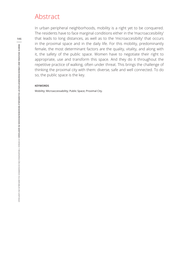### Abstract

In urban peripheral neighborhoods, mobility is a right yet to be conquered. The residents have to face marginal conditions either in the 'macroaccesibility' that leads to long distances, as well as to the 'microaccesibilty' that occurs in the proximal space and in the daily life. For this mobility, predominantly female, the most determinant factors are the quality, vitality, and along with it, the safety of the public space. Women have to negotiate their right to appropriate, use and transform this space. And they do it throughout the repetitive practice of walking, often under threat. This brings the challenge of thinking the proximal city with them: diverse, safe and well connected. To do so, the public space is the key.

#### **KEYWORDS**

Mobility; Microaccessability; Public Space; Proximal City.

**146**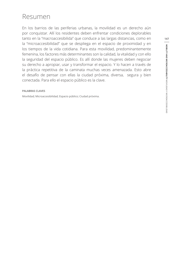## Resumen

En los barrios de las periferias urbanas, la movilidad es un derecho aún por conquistar. Allí los residentes deben enfrentar condiciones deplorables tanto en la "macroaccesibilida" que conduce a las largas distancias, como en la "microaccesibilidad" que se despliega en el espacio de proximidad y en los tiempos de la vida cotidiana. Para esta movilidad, predominantemente femenina, los factores más determinantes son la calidad, la vitalidad y con ello la seguridad del espacio público. Es allí donde las mujeres deben negociar su derecho a apropiar, usar y transformar el espacio. Y lo hacen a través de la práctica repetitiva de la caminata muchas veces amenazada. Esto abre el desafío de pensar con ellas la ciudad próxima, diversa, segura y bien conectada. Para ello el espacio público es la clave.

### **PALABRAS CLAVES**

Movilidad; Microaccesibilidad; Espacio público; Ciudad próxima.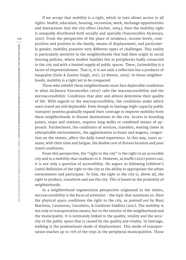If we accept that mobility is a right, which in turn allows access to all rights: health, education, housing, recreation, work, exchange opportunities and interactions that the city offers (Ascher, 2004); then the mobility right is unequally distributed both socially and spatially (Vasconcellos Alcántara, 2010). From the perspective of the place of residence, income levels, composition and position in the family, means of displacement, and particularly gender; mobility presents very different types of challenges. This reality is particularly sensitive in the neighborhoods that had their origin in social housing policies, where modest families live in peripheries badly connected to the city and with a limited supply of public spaces. There, (in)mobility is a factor of impoverishment. That is, it is not only a reflection but a producer of inequality (Jirón & Zunino Singh, 2017, Le Breton, 2005). In those neighborhoods, mobility is a right yet to be conquered.

Those who inhabit these neighborhoods must face deplorable conditions in what Alcântara Vasconcellos (2010) calls the macroaccessibility and the microaccessibility. Conditions that alter and almost determine their quality of life. With regards to the macroaccessibility, the conditions under which users travel are still deplorable. Even though in Santiago high-capacity public transport systems gradually expand their coverage to improve mobility from these neighborhoods to distant destinations in the city. Access to boarding points, stops and stations, requires long walks or combined means of approach. Furthermore, the conditions of services, transfers, waiting times in inhospitable environments, the agglutination in buses and wagons, congestion on the streets, affect the daily travel experience. In this way, users assume, with their time and fatigue, the double cost of distant location and poor travel conditions.

From this perspective, the "right to the city" is the right to an accessible city and to a mobility that conduces to it. However, as Jouffe (2011) points out, it is not only a question of accessibility. He argues so following Lefebvre's (1969) definition of the right to the city as the ability to appropriate the urban environment and participate. To him, the right to the city is, above all, the right to produce, transform and use the city. This is based on the proximity of neighborhoods.

In a neighborhood-regeneration perspective originated in the sixties, microaccessibility is the focus of attention – the topic that summons us. Here the physical space conditions the right to the city, as pointed out by Muxi Martínez, Casanovas, Ciocoletto, & Gutiérrez Valdivia (2011). The mobility is not only to transportation means, but to the interior of the neighborhood and the municipality. It is intimately linked to the quality, vitality and the security of the public space that is caused by the quality and vitality. In Santiago, walking is the predominant mode of displacement. This mode of transportation reaches up to 75% of the trips in the peripheral municipalities. Those

**148**

VIVIENDA Y REGENERACIÓN DE BARRIOS VULNERABLES EN SANTIAGO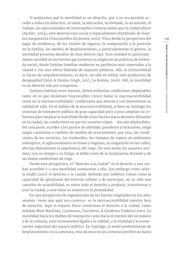Si aceptamos que la movilidad es un derecho, que a su vez permite acceder a todos los derechos, la salud, la educación, la vivienda, la recreación, el trabajo, las oportunidades de intercambio e interacciones que la ciudad ofrece (Ascher, 2004), este derecho está social y espacialmente distribuido de manera inequitativa (Vasconcellos Alcántara, 2010). Vista desde la perspectiva del lugar de residencia, de los niveles de ingreso, la composición y la posición en la familia, los medios de desplazamiento, y particularmente el género, la movilidad presenta desafíos de muy diverso tipo. Esta realidad es particularmente sensible en los barrios que tuvieron su origen en las políticas de vivienda social, donde habitan familias modestas en periferias mal conectadas a la ciudad y con una oferta limitada de espacios públicos. Allí, la (in)movilidad es factor de empobrecimiento, es decir, no sólo es reflejo sino productora de desigualdad (Jirón & Zunino Singh, 2017; Le Breton, 2005). Allí, la movilidad es un derecho aún por conquistar.

Quienes habitan estos barrios, deben enfrentar condiciones deplorables tanto en lo que Alcântara Vasconcellos (2010) llama la macroaccesibilidad como en la microaccesibilidad. Condiciones que alteran y casi determinan su calidad de vida. En el ámbito de la macroaccesibilidad, si bien en Santiago los sistemas de transporte público de gran capacidad poco a poco amplían su cobertura para mejorar la movilidad desde estos barrios hacia destinos distantes en la ciudad, las condiciones en que los usuarios viajan son aún deplorables. Por una parte, acceder a los puntos de abordaje, paraderos y estaciones, exige largas caminatas o cambios de medios de acercamiento, por otra, las condiciones de los servicios, los trasbordos, los tiempos de espera en ambientes inhóspitos, el aglutinamiento en buses y vagones, la congestión en las calles, afectan diariamente la experiencia del viaje. De este modo los usuarios asumen, con su tiempo y su fatiga, el doble costo de la localización distante y de las malas condiciones de viaje.

Desde esta perspectiva, el "derecho a la ciudad" es el derecho a una ciudad accesible y a una movilidad conducente a ella. Sin embargo como señala Jouffe (2011) el derecho a la ciudad, definido por Lefebvre (1969) como la capacidad de apropiarse del entorno urbano y de participar, no es sólo una cuestión de accesibilidad, es sobre todo el derecho a producir, transformar y usar la ciudad, y este tiene su asiento en la proximidad.

En una perspectiva de regeneración de los barrios originados en los años sesenta -tema que aquí nos convoca- es la microaccesibilidad nuestro foco de atención. Aquí el espacio físico condiciona el derecho a la ciudad, como señalan Muxi Martínez, Casanovas, Ciocoletto, & Gutiérrez Valdivia (2011). La movilidad hacia los medios de transporte como hacia el interior del vecindario y de la comuna, está íntimamente ligada a la calidad, a la vitalidad y la consecuente seguridad del espacio público. En Santiago, el modo predominante de desplazamiento es la caminata, esta alcanza en las comunas periféricas hasta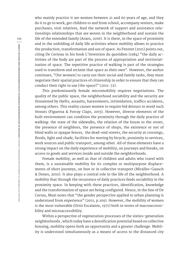who mainly practice it are women between 21 and 60 years of age, and they do it to go to work, get children to and from school, accompany seniors, make purchases, visit relatives, feed the network of support and assistance relationships relationships that are woven in the neighborhood and sustain the life of the extended family (Araos, 2016). It is there, in the space of proximity and in the unfolding of daily life activities where mobility allows to practice the production, transformation and use of space. As Fenster (2011) points out, citing De Certeau in his book L'Invention du quotidien (1984) "the daily activities of the body are part of the process of appropriation and territorialisation of space. The repetitive practice of walking is part of the strategies used to transform and reclaim that space as their own". However, the author continues, "[for women] to carry out their social and family tasks, they must negotiate their spatial practices of citizenship in order to ensure that they can conduct their right to use [the space]" (2011: 72).

This predominantly female micromobility requires negotiations. The quality of the public space, the neighborhood sociability and the security are threatened by thefts, assaults, harassments, intimidation, traffics accidents, among others. This reality causes women to require bid detours to avoid such threats (Figueroa & Forray Claps, 2015). However, diverse elements of the built environment can condition the proximity through the daily practice of walking: the state of the sidewalks, the relation of the house to the street, the presence of neighbors, the presence of shops, the existence or not of blind walls or opaque fences, the dead-end streets, the security at crossings, floods, light and shade, facilities for moving by bicycle, proximity to services, work sources and public transport, among other. All of these elements have a strong impact on the daily experience of mobility, on journeys and breaks, on access to goods and services inside and outside the neighborhoods.

Female mobility, as well as that of children and adults who travel with them, is a sustainable mobility for its complex or multipurpose displacements of short journeys, on foot or in collective transport (Miralles-Guasch & Dones, 2010). It also plays a central role in the life of the neighborhood. A mobility that through the recurrence of daily practices feeds sociability in the proximity space. In keeping with these practices, identification, knowledge and the transformation of space are being configured. Hence, in the line of De Certau, Muxi notes that "the gender perspective applied to urban planning is understood from experience" (2011, p.109). However, the mobility of women is the most vulnerable (Ortiz Escalante, 1971) both in terms of macroaccessibility and microaccessibility.

Within a perspective of regeneration processes of the sixties-generation neighborhoods , which today have a densification potential based on collective housing, mobility opens both an opportunity and a greater challenge. Mobility is understood simultaneously as a means of access to the distanced city

**150**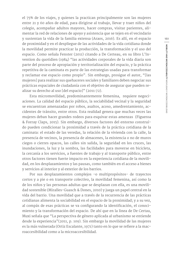el 75% de los viajes, y quienes la practican principalmente son las mujeres entre 21 y 60 años de edad, para dirigirse al trabajo, llevar y traer niños del colegio, acompañar adultos mayores, hacer compras, visitar parientes, alimentar la red de relaciones de apoyo y asistencia que se tejen en el vecindario y sustentan la vida de la familia extensa (Araos, 2016). Es allí, en el espacio de proximidad y en el despliegue de las actividades de la vida cotidiana donde la movilidad permite practicar la producción, la transformación y el uso del espacio. Como señala Fenster (2011) citando a De Certeau, en su libro L'Invention du quotidien (1984) "las actividades corporales de la vida diaria son parte del proceso de apropiación y territorialización del espacio, y la práctica repetitiva de la caminata es parte de las estrategias usadas para transformar y reclamar ese espacio como propio". Sin embargo, prosigue el autor, "[las mujeres] para realizar sus quehaceres sociales y familiares deben negociar sus prácticas espaciales de ciudadanía con el objetivo de asegurar que pueden realizar su derecho al uso [del espacio]" (2011:72).

Esta micromovilidad, predominantemente femenina, requiere negociaciones. La calidad del espacio público, la sociabilidad vecinal y la seguridad se encuentran amenazadas por robos, asaltos, acoso, amedrentamiento, accidentes de tránsito, entre otros. Esta realidad genera que muchas veces las mujeres deban hacer grandes rodeos para esquivar estas amenzas (Figueroa & Forray Claps, 2015). Sin embargo, diversos factores del entorno construído pueden condicionar la proximidad a través de la práctica cotidiana de la caminata: el estado de las veredas, la relación de la vivienda con la calle, la presencia de vecinos, la presencia de almacenes, la existencia o no de muros ciegos o cierres opacos, las calles sin salida, la seguridad en los cruces, las inundaciones, la luz y la sombra, las facilidades para moverse en bicicleta, la cercanía a los servicios, a fuentes de trabajo y al transporte público, entre otros factores tienen fuerte impacto en la experiencia cotidiana de la movilidad, en los desplazamientos y las pausas, como también en el acceso a bienes y servicios al interior y al exterior de los barrios.

Por sus desplazamientos complejos -o multipropósitos- de trayectos cortos y a pie o en transporte colectivo, la movilidad femenina, así como la de los niños y las personas adultas que se desplazan con ella, es una movilidad sostenible (Miralles-Guasch & Dones, 2010) y juega un papel central en la vida del barrio. Una movilidad que a través de la recurrencia de las prácticas cotidianas alimenta la sociabilidad en el espacio de la proximidad; y a su vez, al compás de esas prácticas se va configurando la identificación, el conocimiento y la transformación del espacio. De ahí que en la linea de De Certau, Muxi señala que "La perspectiva de género aplicada al urbanismo se entiende desde la experiencia"(2011, p. 109). Sin embargo la movilidad de las mujeres es la más vulnerada (Ortiz Escalante, 1971) tanto en lo que se refiere a la macroaccesibilidad como a la microaccesibilidad.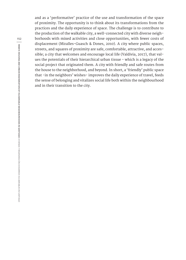and as a 'performative' practice of the use and transformation of the space of proximity. The opportunity is to think about its transformations from the practices and the daily experience of space. The challenge is to contribute to the production of the walkable city, a well-connected city with diverse neighborhoods with mixed activities and close opportunities, with fewer costs of displacement (Miralles-Guasch & Dones, 2010). A city where public spaces, streets, and squares of proximity are safe, comfortable, attractive, and accessible; a city that welcomes and encourage local life (Valdivia, 2017), that values the potentials of their hierarchical urban tissue - which is a legacy of the social project that originated them. A city with friendly and safe routes from the house to the neighborhood, and beyond. In short, a 'friendly' public space that -in the neighbors' wishes- improves the daily experience of travel, feeds the sense of belonging and vitalizes social life both within the neighbourhood and in their transition to the city.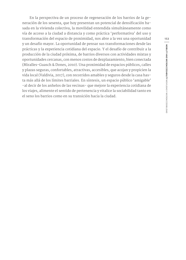En la perspectiva de un proceso de regeneración de los barrios de la generación de los sesenta, que hoy presentan un potencial de densificación basada en la vivienda colectiva, la movilidad entendida simultáneamente como vía de acceso a la ciudad a distancia y como práctica 'performativa' del uso y transformación del espacio de proximidad, nos abre a la vez una oportunidad y un desafío mayor. La oportunidad de pensar sus transformaciones desde las prácticas y la experiencia cotidiana del espacio. Y el desafío de contribuir a la producción de la ciudad próxima, de barrios diversos con actividades mixtas y oportunidades cercanas, con menos costos de dezplazamiento, bien conectada (Miralles-Guasch & Dones, 2010). Una proximidad de espacios públicos, calles y plazas seguras, confortables, atractivas, accesibles, que acojan y propicien la vida local (Valdivia, 2017), con recorridos amables y seguros desde la casa hasta más allá de los límites barriales. En síntesis, un espacio público 'amigable' -al decir de los anhelos de las vecinas- que mejore la experiencia cotidiana de los viajes, alimente el sentido de pertenencia y vitalice la sociabilidad tanto en el seno los barrios como en su transición hacia la ciudad.